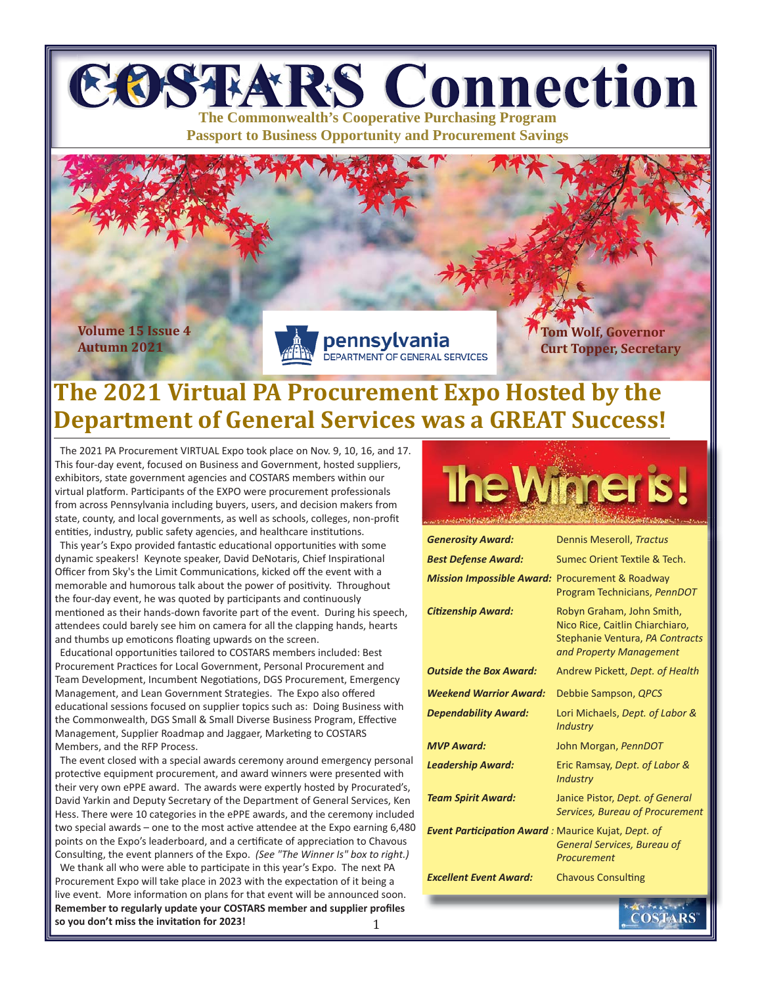# **EOSTARS Connection The Commonwealth's Cooperative Purchasing Program**

**Passport to Business Opportunity and Procurement Savings**

**Volume 15 Issue 4 Autumn 2021**



**Tom Wolf, Governor Curt Topper, Secretary**

### **The 2021 Virtual PA Procurement Expo Hosted by the Department of General Services was a GREAT Success!**

 The 2021 PA Procurement VIRTUAL Expo took place on Nov. 9, 10, 16, and 17. This four-day event, focused on Business and Government, hosted suppliers, exhibitors, state government agencies and COSTARS members within our virtual platform. Participants of the EXPO were procurement professionals from across Pennsylvania including buyers, users, and decision makers from state, county, and local governments, as well as schools, colleges, non-profit entities, industry, public safety agencies, and healthcare institutions.

This year's Expo provided fantastic educational opportunities with some dynamic speakers! Keynote speaker, David DeNotaris, Chief Inspirational Officer from Sky's the Limit Communications, kicked off the event with a memorable and humorous talk about the power of positivity. Throughout the four-day event, he was quoted by participants and continuously mentioned as their hands-down favorite part of the event. During his speech, attendees could barely see him on camera for all the clapping hands, hearts and thumbs up emoticons floating upwards on the screen.

Educational opportunities tailored to COSTARS members included: Best Procurement Practices for Local Government, Personal Procurement and Team Development, Incumbent Negotiations, DGS Procurement, Emergency Management, and Lean Government Strategies. The Expo also offered educational sessions focused on supplier topics such as: Doing Business with the Commonwealth, DGS Small & Small Diverse Business Program, Effective Management, Supplier Roadmap and Jaggaer, Marketing to COSTARS Members, and the RFP Process.

 The event closed with a special awards ceremony around emergency personal protective equipment procurement, and award winners were presented with their very own ePPE award. The awards were expertly hosted by Procurated's, David Yarkin and Deputy Secretary of the Department of General Services, Ken Hess. There were 10 categories in the ePPE awards, and the ceremony included two special awards - one to the most active attendee at the Expo earning 6,480 points on the Expo's leaderboard, and a certificate of appreciation to Chavous Consulting, the event planners of the Expo. *(See "The Winner Is" box to right.)* We thank all who were able to participate in this year's Expo. The next PA Procurement Expo will take place in 2023 with the expectation of it being a live event. More information on plans for that event will be announced soon. Remember to regularly update your COSTARS member and supplier profiles **so you don't miss the invitaƟ on for 2023!**



| <b>Generosity Award:</b>                                  | Dennis Meseroll, Tractus                                                                                                   |  |  |
|-----------------------------------------------------------|----------------------------------------------------------------------------------------------------------------------------|--|--|
| <b>Best Defense Award:</b>                                | Sumec Orient Textile & Tech.                                                                                               |  |  |
| <b>Mission Impossible Award:</b>                          | Procurement & Roadway<br>Program Technicians, PennDOT                                                                      |  |  |
| <b>Citizenship Award:</b>                                 | Robyn Graham, John Smith,<br>Nico Rice, Caitlin Chiarchiaro,<br>Stephanie Ventura, PA Contracts<br>and Property Management |  |  |
| <b>Outside the Box Award:</b>                             | Andrew Pickett, Dept. of Health                                                                                            |  |  |
| <b>Weekend Warrior Award:</b>                             | Debbie Sampson, QPCS                                                                                                       |  |  |
| <b>Dependability Award:</b>                               | Lori Michaels, Dept. of Labor &<br><b>Industry</b>                                                                         |  |  |
| <b>MVP Award:</b>                                         | John Morgan, PennDOT                                                                                                       |  |  |
| <b>Leadership Award:</b>                                  | Eric Ramsay, Dept. of Labor &<br><b>Industry</b>                                                                           |  |  |
| <b>Team Spirit Award:</b>                                 | Janice Pistor, Dept. of General<br><b>Services, Bureau of Procurement</b>                                                  |  |  |
| <b>Event Participation Award:</b> Maurice Kujat, Dept. of | <b>General Services, Bureau of</b><br>Procurement                                                                          |  |  |
| <b>Excellent Event Award:</b>                             | <b>Chavous Consulting</b>                                                                                                  |  |  |
|                                                           |                                                                                                                            |  |  |
|                                                           | COSTARS                                                                                                                    |  |  |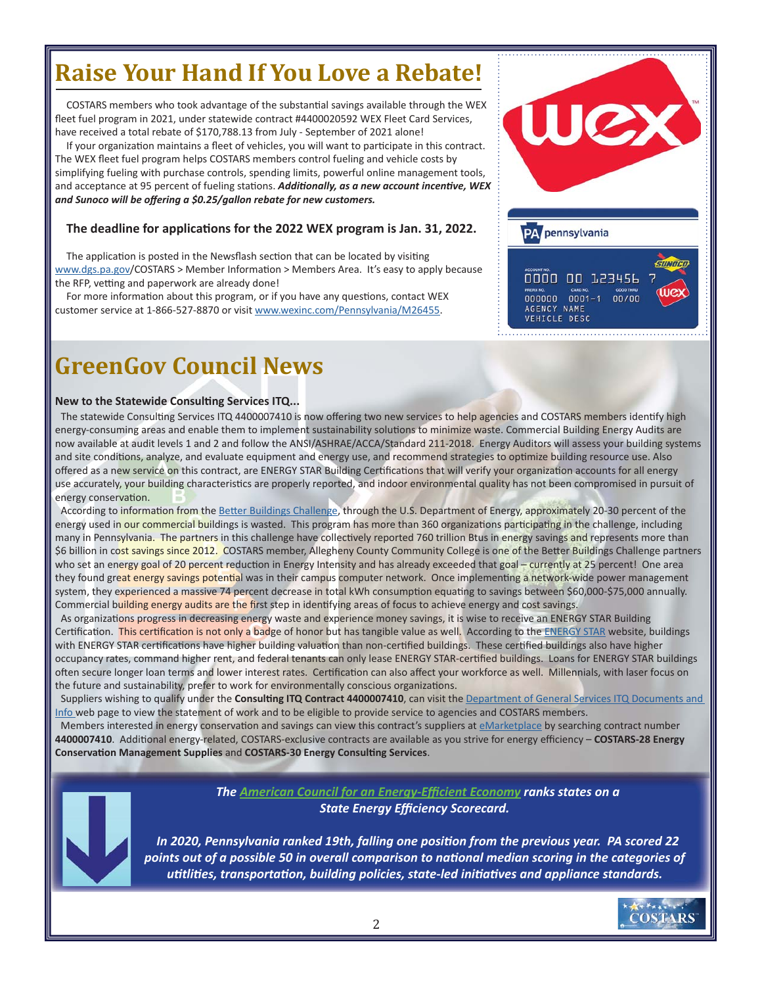### **Raise Your Hand If You Love a Rebate!**

COSTARS members who took advantage of the substantial savings available through the WEX fleet fuel program in 2021, under statewide contract #4400020592 WEX Fleet Card Services, have received a total rebate of \$170,788.13 from July - September of 2021 alone!

If your organization maintains a fleet of vehicles, you will want to participate in this contract. The WEX fleet fuel program helps COSTARS members control fueling and vehicle costs by simplifying fueling with purchase controls, spending limits, powerful online management tools, and acceptance at 95 percent of fueling stations. *Additionally, as a new account incentive, WEX and Sunoco will be off ering a \$0.25/gallon rebate for new customers.* 

#### **The deadline for applicaƟ ons for the 2022 WEX program is Jan. 31, 2022.**

The application is posted in the Newsflash section that can be located by visiting www.dgs.pa.gov/COSTARS > Member Information > Members Area. It's easy to apply because the RFP, vetting and paperwork are already done!

For more information about this program, or if you have any questions, contact WEX customer service at 1-866-527-8870 or visit www.wexinc.com/Pennsylvania/M26455.

### **GreenGov Council News**

#### **New to the Statewide Consulting Services ITQ...**

The statewide Consulting Services ITQ 4400007410 is now offering two new services to help agencies and COSTARS members identify high energy-consuming areas and enable them to implement sustainability solutions to minimize waste. Commercial Building Energy Audits are now available at audit levels 1 and 2 and follow the ANSI/ASHRAE/ACCA/Standard 211-2018. Energy Auditors will assess your building systems and site conditions, analyze, and evaluate equipment and energy use, and recommend strategies to optimize building resource use. Also offered as a new service on this contract, are ENERGY STAR Building Certifications that will verify your organization accounts for all energy use accurately, your building characteristics are properly reported, and indoor environmental quality has not been compromised in pursuit of energy conservation.

According to information from the Better Buildings Challenge, through the U.S. Department of Energy, approximately 20-30 percent of the energy used in our commercial buildings is wasted. This program has more than 360 organizations participating in the challenge, including many in Pennsylvania. The partners in this challenge have collectively reported 760 trillion Btus in energy savings and represents more than \$6 billion in cost savings since 2012. COSTARS member, Allegheny County Community College is one of the Better Buildings Challenge partners who set an energy goal of 20 percent reduction in Energy Intensity and has already exceeded that goal – currently at 25 percent! One area they found great energy savings potential was in their campus computer network. Once implementing a network-wide power management system, they experienced a massive 74 percent decrease in total kWh consumption equating to savings between \$60,000-\$75,000 annually. Commercial building energy audits are the first step in identifying areas of focus to achieve energy and cost savings.

As organizations progress in decreasing energy waste and experience money savings, it is wise to receive an ENERGY STAR Building Certification. This certification is not only a badge of honor but has tangible value as well. According to the [ENERGY STAR](https://www.energystar.gov/buildings/building_recognition/building_certification) website, buildings with ENERGY STAR certifications have higher building valuation than non-certified buildings. These certified buildings also have higher occupancy rates, command higher rent, and federal tenants can only lease ENERGY STAR-certified buildings. Loans for ENERGY STAR buildings often secure longer loan terms and lower interest rates. Certification can also affect your workforce as well. Millennials, with laser focus on the future and sustainability, prefer to work for environmentally conscious organizations.

Suppliers wishing to qualify under the Consulting ITQ Contract 4400007410, can visit the Department of General Services ITQ Documents and [Info web page to view the statement of work and to be eligible to provide service to agencies and COSTARS members.](https://www.dgs.pa.gov/Materials-Services-Procurement/Procurement-Resources/Pages/ITQ-Documents.aspx)

Members interested in energy conservation and savings can view this contract's suppliers at **eMarketplace** by searching contract number 4400007410. Additional energy-related, COSTARS-exclusive contracts are available as you strive for energy efficiency – COSTARS-28 Energy **Conservation Management Supplies and COSTARS-30 Energy Consulting Services.** 



 *The [American Council for an Energy-E](https://www.aceee.org/state-policy/scorecard)ffi cient Economy ranks states on a State Energy Effi ciency Scorecard.*

 *In 2020, Pennsylvania ranked 19th, falling one posiƟ on from the previous year. PA scored 22 points out of a possible 50 in overall comparison to naƟ onal median scoring in the categories of uƟ tliƟ es, transportaƟ on, building policies, state-led iniƟ aƟ ves and appliance standards.*

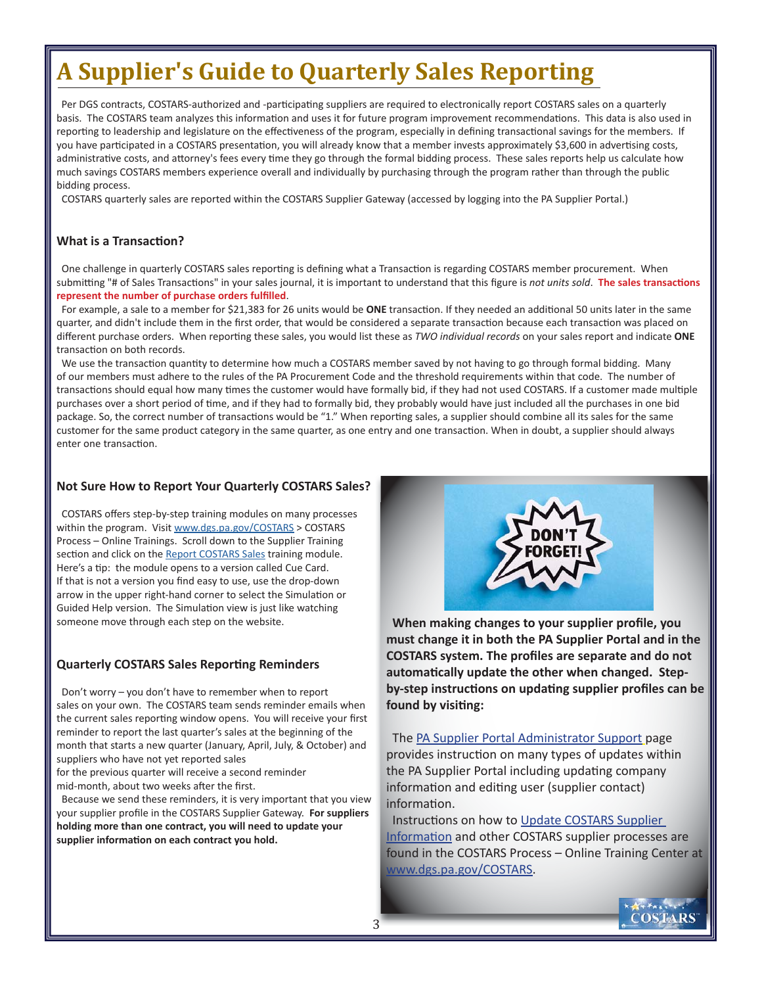# **A Supplier's Guide to Quarterly Sales Reporting**

Per DGS contracts, COSTARS-authorized and -participating suppliers are required to electronically report COSTARS sales on a quarterly basis. The COSTARS team analyzes this information and uses it for future program improvement recommendations. This data is also used in reporting to leadership and legislature on the effectiveness of the program, especially in defining transactional savings for the members. If you have participated in a COSTARS presentation, you will already know that a member invests approximately \$3,600 in advertising costs, administrative costs, and attorney's fees every time they go through the formal bidding process. These sales reports help us calculate how much savings COSTARS members experience overall and individually by purchasing through the program rather than through the public bidding process.

COSTARS quarterly sales are reported within the COSTARS Supplier Gateway (accessed by logging into the PA Supplier Portal.)

#### **What is a Transaction?**

One challenge in quarterly COSTARS sales reporting is defining what a Transaction is regarding COSTARS member procurement. When submitting "# of Sales Transactions" in your sales journal, it is important to understand that this figure is *not units sold*. The sales transactions represent the number of purchase orders fulfilled.

For example, a sale to a member for \$21,383 for 26 units would be ONE transaction. If they needed an additional 50 units later in the same quarter, and didn't include them in the first order, that would be considered a separate transaction because each transaction was placed on different purchase orders. When reporting these sales, you would list these as *TWO individual records* on your sales report and indicate ONE transaction on both records.

We use the transaction quantity to determine how much a COSTARS member saved by not having to go through formal bidding. Many of our members must adhere to the rules of the PA Procurement Code and the threshold requirements within that code. The number of transactions should equal how many times the customer would have formally bid, if they had not used COSTARS. If a customer made multiple purchases over a short period of time, and if they had to formally bid, they probably would have just included all the purchases in one bid package. So, the correct number of transactions would be "1." When reporting sales, a supplier should combine all its sales for the same customer for the same product category in the same quarter, as one entry and one transaction. When in doubt, a supplier should always enter one transaction.

#### **Not Sure How to Report Your Quarterly COSTARS Sales?**

COSTARS offers step-by-step training modules on many processes within the program. Visit www.dgs.pa.gov/COSTARS > COSTARS Process – Online Trainings. Scroll down to the Supplier Training section and click on the [Report COSTARS Sales](https://help.myworkplace.pa.gov/gm/folder-1.11.115615?originalContext=1.11.97212) training module. Here's a tip: the module opens to a version called Cue Card. If that is not a version you find easy to use, use the drop-down arrow in the upper right-hand corner to select the Simulation or Guided Help version. The Simulation view is just like watching someone move through each step on the website.

#### **Quarterly COSTARS Sales Reporting Reminders**

 Don't worry – you don't have to remember when to report sales on your own. The COSTARS team sends reminder emails when the current sales reporting window opens. You will receive your first reminder to report the last quarter's sales at the beginning of the month that starts a new quarter (January, April, July, & October) and suppliers who have not yet reported sales

for the previous quarter will receive a second reminder mid-month, about two weeks after the first.

 Because we send these reminders, it is very important that you view your supplier profile in the COSTARS Supplier Gateway. For suppliers **holding more than one contract, you will need to update your**  supplier information on each contract you hold.



**When making changes to your supplier profile, you must change it in both the PA Supplier Portal and in the COSTARS system. The profiles are separate and do not** automatically update the other when changed. Step**by-step instructions on updating supplier profiles can be** found by visiting:

 The [PA Supplier Portal Administrator Support](https://www.budget.pa.gov/Services/ForVendors/Pages/PASP-Admin-Support.aspx) page provides instruction on many types of updates within the PA Supplier Portal including updating company information and editing user (supplier contact) information.

Instructions on how to Update COSTARS Supplier Information [and other COSTARS supplier processes](https://help.myworkplace.pa.gov/gm/folder-1.11.115602?originalContext=1.11.97212) are found in the COSTARS Process – Online Training Center at www.dgs.pa.gov/COSTARS.

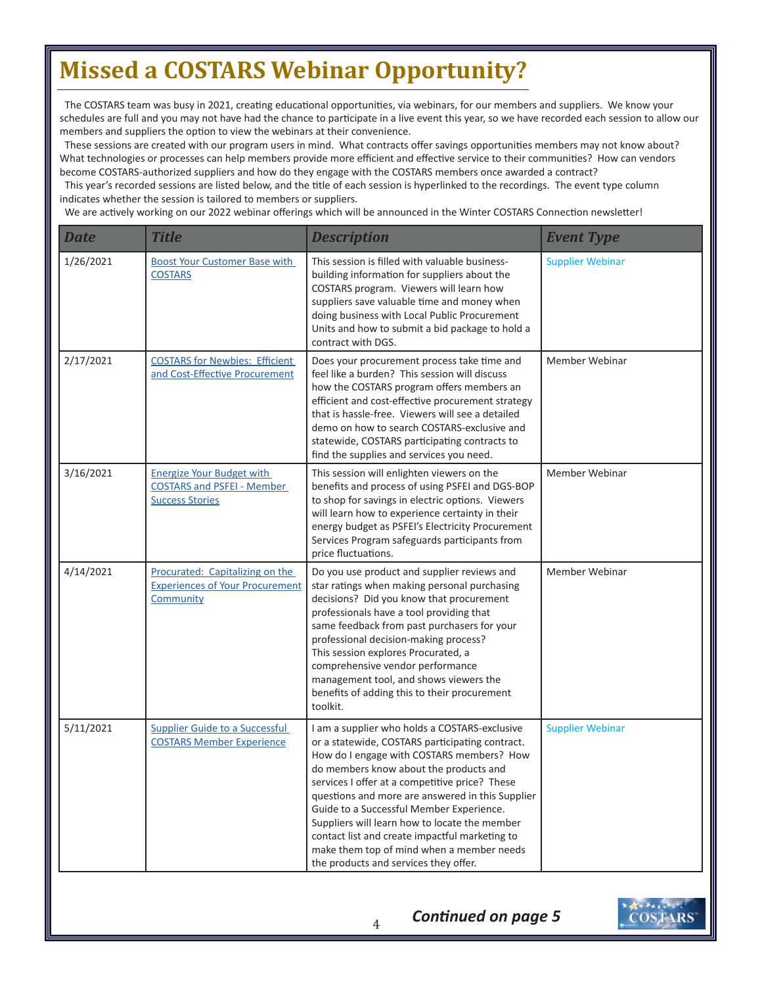## **Missed a COSTARS Webinar Opportunity?**

The COSTARS team was busy in 2021, creating educational opportunities, via webinars, for our members and suppliers. We know your schedules are full and you may not have had the chance to participate in a live event this year, so we have recorded each session to allow our members and suppliers the option to view the webinars at their convenience.

These sessions are created with our program users in mind. What contracts offer savings opportunities members may not know about? What technologies or processes can help members provide more efficient and effective service to their communities? How can vendors become COSTARS-authorized suppliers and how do they engage with the COSTARS members once awarded a contract?

This year's recorded sessions are listed below, and the title of each session is hyperlinked to the recordings. The event type column indicates whether the session is tailored to members or suppliers.

We are actively working on our 2022 webinar offerings which will be announced in the Winter COSTARS Connection newsletter!

| <b>Date</b> | <b>Title</b>                                                                                    | <b>Description</b>                                                                                                                                                                                                                                                                                                                                                                                                                                                                                                                 | <b>Event Type</b>       |
|-------------|-------------------------------------------------------------------------------------------------|------------------------------------------------------------------------------------------------------------------------------------------------------------------------------------------------------------------------------------------------------------------------------------------------------------------------------------------------------------------------------------------------------------------------------------------------------------------------------------------------------------------------------------|-------------------------|
| 1/26/2021   | <b>Boost Your Customer Base with</b><br><b>COSTARS</b>                                          | This session is filled with valuable business-<br>building information for suppliers about the<br>COSTARS program. Viewers will learn how<br>suppliers save valuable time and money when<br>doing business with Local Public Procurement<br>Units and how to submit a bid package to hold a<br>contract with DGS.                                                                                                                                                                                                                  | <b>Supplier Webinar</b> |
| 2/17/2021   | <b>COSTARS for Newbies: Efficient</b><br>and Cost-Effective Procurement                         | Does your procurement process take time and<br>feel like a burden? This session will discuss<br>how the COSTARS program offers members an<br>efficient and cost-effective procurement strategy<br>that is hassle-free. Viewers will see a detailed<br>demo on how to search COSTARS-exclusive and<br>statewide, COSTARS participating contracts to<br>find the supplies and services you need.                                                                                                                                     | Member Webinar          |
| 3/16/2021   | <b>Energize Your Budget with</b><br><b>COSTARS and PSFEI - Member</b><br><b>Success Stories</b> | This session will enlighten viewers on the<br>benefits and process of using PSFEI and DGS-BOP<br>to shop for savings in electric options. Viewers<br>will learn how to experience certainty in their<br>energy budget as PSFEI's Electricity Procurement<br>Services Program safeguards participants from<br>price fluctuations.                                                                                                                                                                                                   | Member Webinar          |
| 4/14/2021   | Procurated: Capitalizing on the<br><b>Experiences of Your Procurement</b><br>Community          | Do you use product and supplier reviews and<br>star ratings when making personal purchasing<br>decisions? Did you know that procurement<br>professionals have a tool providing that<br>same feedback from past purchasers for your<br>professional decision-making process?<br>This session explores Procurated, a<br>comprehensive vendor performance<br>management tool, and shows viewers the<br>benefits of adding this to their procurement<br>toolkit.                                                                       | Member Webinar          |
| 5/11/2021   | <b>Supplier Guide to a Successful</b><br><b>COSTARS Member Experience</b>                       | I am a supplier who holds a COSTARS-exclusive<br>or a statewide, COSTARS participating contract.<br>How do I engage with COSTARS members? How<br>do members know about the products and<br>services I offer at a competitive price? These<br>questions and more are answered in this Supplier<br>Guide to a Successful Member Experience.<br>Suppliers will learn how to locate the member<br>contact list and create impactful marketing to<br>make them top of mind when a member needs<br>the products and services they offer. | <b>Supplier Webinar</b> |



4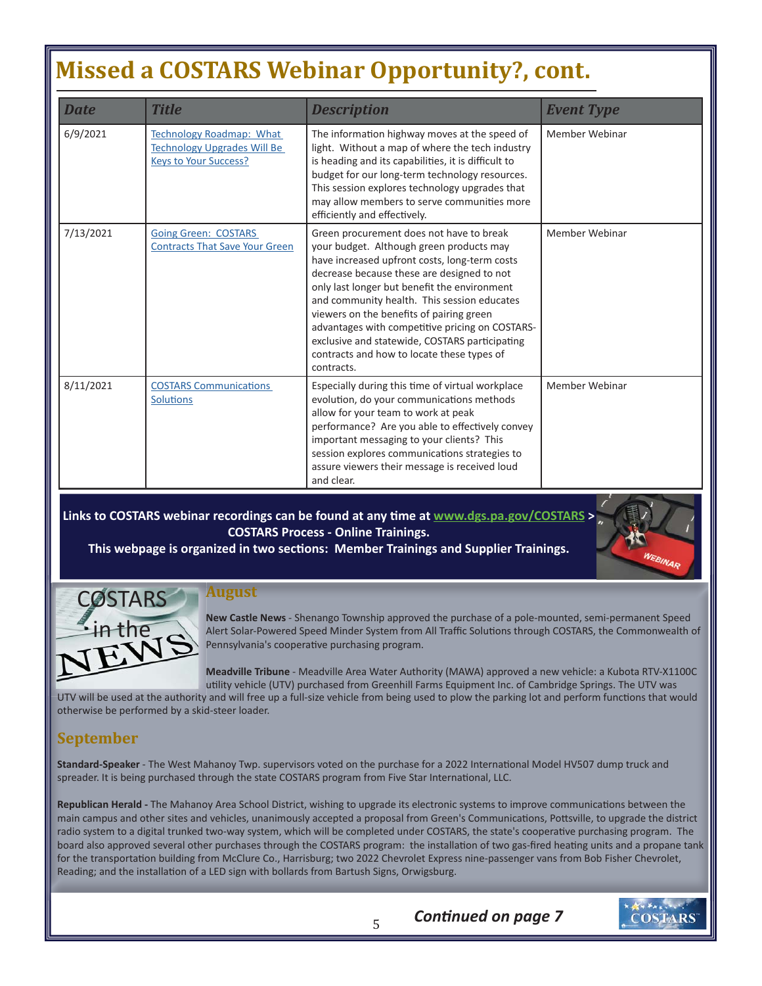## **Missed a COSTARS Webinar Opportunity?, cont.**

| <b>Date</b> | <b>Title</b>                                                                                          | <b>Description</b>                                                                                                                                                                                                                                                                                                                                                                                                                                                                              | <b>Event Type</b> |
|-------------|-------------------------------------------------------------------------------------------------------|-------------------------------------------------------------------------------------------------------------------------------------------------------------------------------------------------------------------------------------------------------------------------------------------------------------------------------------------------------------------------------------------------------------------------------------------------------------------------------------------------|-------------------|
| 6/9/2021    | <b>Technology Roadmap: What</b><br><b>Technology Upgrades Will Be</b><br><b>Keys to Your Success?</b> | The information highway moves at the speed of<br>light. Without a map of where the tech industry<br>is heading and its capabilities, it is difficult to<br>budget for our long-term technology resources.<br>This session explores technology upgrades that<br>may allow members to serve communities more<br>efficiently and effectively.                                                                                                                                                      | Member Webinar    |
| 7/13/2021   | <b>Going Green: COSTARS</b><br><b>Contracts That Save Your Green</b>                                  | Green procurement does not have to break<br>your budget. Although green products may<br>have increased upfront costs, long-term costs<br>decrease because these are designed to not<br>only last longer but benefit the environment<br>and community health. This session educates<br>viewers on the benefits of pairing green<br>advantages with competitive pricing on COSTARS-<br>exclusive and statewide, COSTARS participating<br>contracts and how to locate these types of<br>contracts. | Member Webinar    |
| 8/11/2021   | <b>COSTARS Communications</b><br><b>Solutions</b>                                                     | Especially during this time of virtual workplace<br>evolution, do your communications methods<br>allow for your team to work at peak<br>performance? Are you able to effectively convey<br>important messaging to your clients? This<br>session explores communications strategies to<br>assure viewers their message is received loud<br>and clear.                                                                                                                                            | Member Webinar    |

**Links to COSTARS webinar recordings can be found at any time at www.dgs.pa.gov/COSTARS > COSTARS Process - Online Trainings.** 

This webpage is organized in two sections: Member Trainings and Supplier Trainings.



#### **August**

**New Castle News** - Shenango Township approved the purchase of a pole-mounted, semi-permanent Speed Alert Solar-Powered Speed Minder System from All Traffic Solutions through COSTARS, the Commonwealth of Pennsylvania's cooperative purchasing program.

**Meadville Tribune** - Meadville Area Water Authority (MAWA) approved a new vehicle: a Kubota RTV-X1100C utility vehicle (UTV) purchased from Greenhill Farms Equipment Inc. of Cambridge Springs. The UTV was

*Continued on page 7* 

UTV will be used at the authority and will free up a full-size vehicle from being used to plow the parking lot and perform functions that would otherwise be performed by a skid-steer loader.

#### **September**

Standard-Speaker - The West Mahanoy Twp. supervisors voted on the purchase for a 2022 International Model HV507 dump truck and spreader. It is being purchased through the state COSTARS program from Five Star International, LLC.

Republican Herald - The Mahanoy Area School District, wishing to upgrade its electronic systems to improve communications between the main campus and other sites and vehicles, unanimously accepted a proposal from Green's Communications, Pottsville, to upgrade the district radio system to a digital trunked two-way system, which will be completed under COSTARS, the state's cooperative purchasing program. The board also approved several other purchases through the COSTARS program: the installation of two gas-fired heating units and a propane tank for the transportation building from McClure Co., Harrisburg; two 2022 Chevrolet Express nine-passenger vans from Bob Fisher Chevrolet, Reading; and the installation of a LED sign with bollards from Bartush Signs, Orwigsburg.

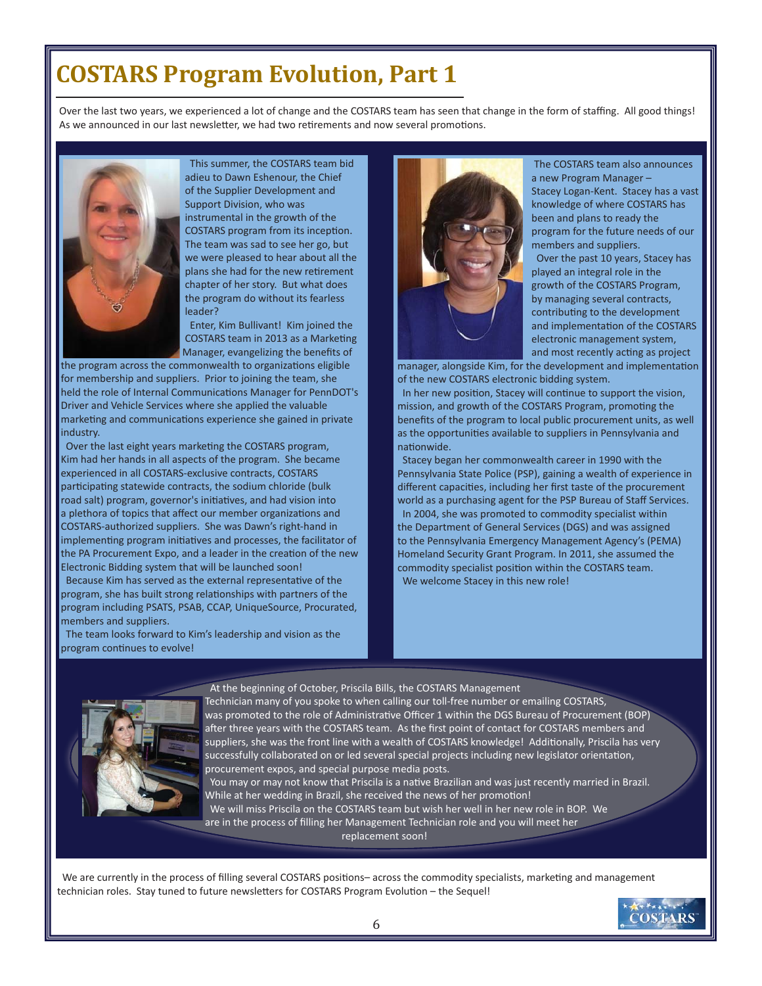### **COSTARS Program Evolution, Part 1**

Over the last two years, we experienced a lot of change and the COSTARS team has seen that change in the form of staffing. All good things! As we announced in our last newsletter, we had two retirements and now several promotions.



 This summer, the COSTARS team bid adieu to Dawn Eshenour, the Chief of the Supplier Development and Support Division, who was instrumental in the growth of the COSTARS program from its inception. The team was sad to see her go, but we were pleased to hear about all the plans she had for the new retirement chapter of her story. But what does the program do without its fearless leader?

 Enter, Kim Bullivant! Kim joined the COSTARS team in 2013 as a Marketing Manager, evangelizing the benefits of

the program across the commonwealth to organizations eligible for membership and suppliers. Prior to joining the team, she held the role of Internal Communications Manager for PennDOT's Driver and Vehicle Services where she applied the valuable marketing and communications experience she gained in private industry.

Over the last eight years marketing the COSTARS program, Kim had her hands in all aspects of the program. She became experienced in all COSTARS-exclusive contracts, COSTARS participating statewide contracts, the sodium chloride (bulk road salt) program, governor's initiatives, and had vision into a plethora of topics that affect our member organizations and COSTARS-authorized suppliers. She was Dawn's right-hand in implementing program initiatives and processes, the facilitator of the PA Procurement Expo, and a leader in the creation of the new Electronic Bidding system that will be launched soon!

Because Kim has served as the external representative of the program, she has built strong relationships with partners of the program including PSATS, PSAB, CCAP, UniqueSource, Procurated, members and suppliers.

 The team looks forward to Kim's leadership and vision as the program continues to evolve!



 The COSTARS team also announces a new Program Manager –

 Stacey Logan-Kent. Stacey has a vast knowledge of where COSTARS has been and plans to ready the program for the future needs of our members and suppliers.

 Over the past 10 years, Stacey has played an integral role in the growth of the COSTARS Program, by managing several contracts, contributing to the development and implementation of the COSTARS electronic management system,

and most recently acting as project manager, alongside Kim, for the development and implementation of the new COSTARS electronic bidding system.

In her new position, Stacey will continue to support the vision, mission, and growth of the COSTARS Program, promoting the benefits of the program to local public procurement units, as well as the opportunities available to suppliers in Pennsylvania and nationwide.

 Stacey began her commonwealth career in 1990 with the Pennsylvania State Police (PSP), gaining a wealth of experience in different capacities, including her first taste of the procurement world as a purchasing agent for the PSP Bureau of Staff Services. In 2004, she was promoted to commodity specialist within the Department of General Services (DGS) and was assigned to the Pennsylvania Emergency Management Agency's (PEMA) Homeland Security Grant Program. In 2011, she assumed the commodity specialist position within the COSTARS team. We welcome Stacey in this new role!



#### At the beginning of October, Priscila Bills, the COSTARS Management

Technician many of you spoke to when calling our toll-free number or emailing COSTARS, was promoted to the role of Administrative Officer 1 within the DGS Bureau of Procurement (BOP) after three years with the COSTARS team. As the first point of contact for COSTARS members and suppliers, she was the front line with a wealth of COSTARS knowledge! Additionally, Priscila has very successfully collaborated on or led several special projects including new legislator orientation, procurement expos, and special purpose media posts.

You may or may not know that Priscila is a native Brazilian and was just recently married in Brazil. While at her wedding in Brazil, she received the news of her promotion! We will miss Priscila on the COSTARS team but wish her well in her new role in BOP. We are in the process of filling her Management Technician role and you will meet her replacement soon!

We are currently in the process of filling several COSTARS positions-across the commodity specialists, marketing and management technician roles. Stay tuned to future newsletters for COSTARS Program Evolution - the Sequel!